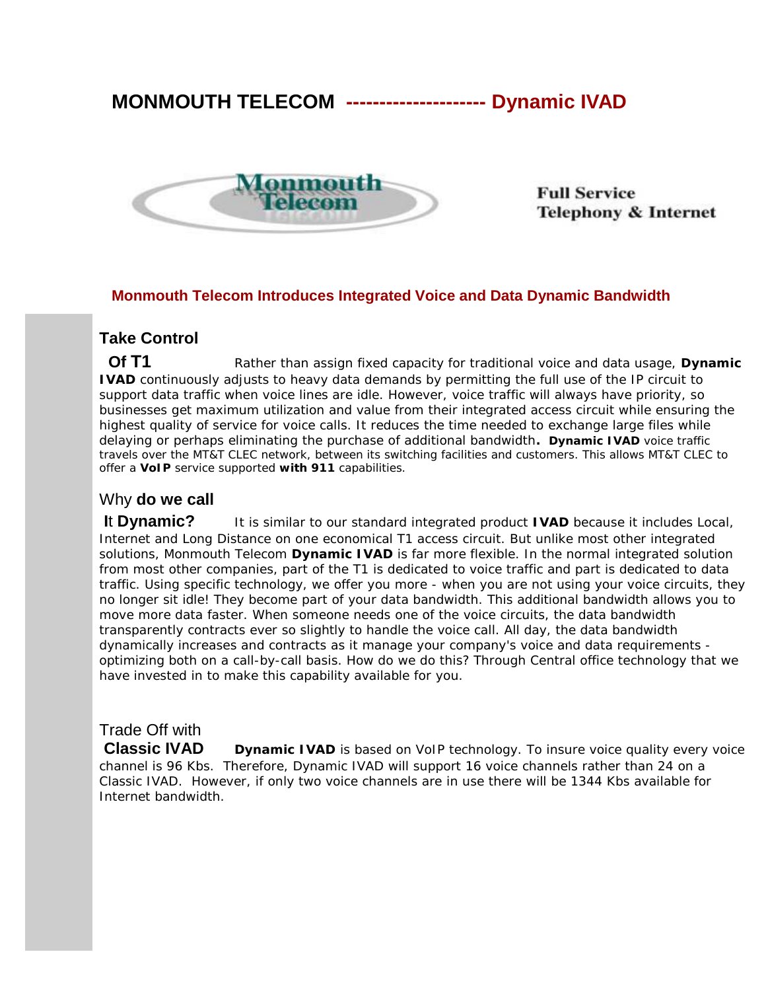# **MONMOUTH TELECOM --------------------- Dynamic IVAD**



**Full Service Telephony & Internet** 

#### **Monmouth Telecom Introduces Integrated Voice and Data Dynamic Bandwidth**

#### **Take Control**

**Of T1** Rather than assign fixed capacity for traditional voice and data usage, Dynamic **IVAD** continuously adjusts to heavy data demands by permitting the full use of the IP circuit to support data traffic when voice lines are idle. However, *voice traffic will always have priority*, so businesses get maximum utilization and value from their integrated access circuit while ensuring the highest quality of service for voice calls. It reduces the time needed to exchange large files while delaying or perhaps eliminating the purchase of additional bandwidth**. Dynamic IVAD** voice traffic travels over the MT&T CLEC network, between its switching facilities and customers. This allows MT&T CLEC to offer a **VoIP** service supported **with 911** capabilities.

#### Why **do we call**

**I**t **Dynamic?** It is similar to our standard integrated product **IVAD** because it includes Local, Internet and Long Distance on one economical T1 access circuit. But unlike most other integrated solutions, Monmouth Telecom **Dynamic IVAD** is far more flexible. In the normal integrated solution from most other companies, part of the T1 is dedicated to voice traffic and part is dedicated to data traffic. Using specific technology, we offer you more - when you are not using your voice circuits, they no longer sit idle! They become part of your data bandwidth. This additional bandwidth allows you to move more data faster. When someone needs one of the voice circuits, the data bandwidth transparently contracts ever so slightly to handle the voice call. All day, the data bandwidth dynamically increases and contracts as it manage your company's voice and data requirements optimizing both on a call-by-call basis. How do we do this? Through Central office technology that we have invested in to make this capability available for you.

### Trade Off with

**Classic IVAD** Dynamic IVAD is based on VoIP technology. To insure voice quality every voice channel is 96 Kbs. Therefore, Dynamic IVAD will support 16 voice channels rather than 24 on a Classic IVAD. However, if only two voice channels are in use there will be 1344 Kbs available for Internet bandwidth.